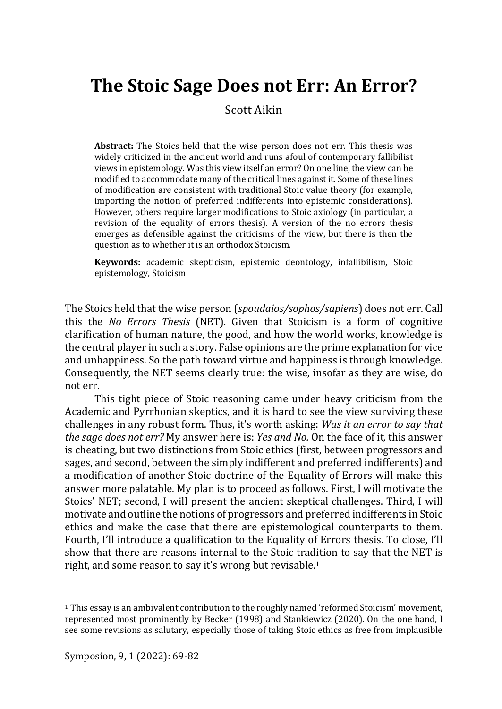# **The Stoic Sage Does not Err: An Error?**

Scott Aikin

**Abstract:** The Stoics held that the wise person does not err. This thesis was widely criticized in the ancient world and runs afoul of contemporary fallibilist views in epistemology. Was this view itself an error? On one line, the view can be modified to accommodate many of the critical lines against it. Some of these lines of modification are consistent with traditional Stoic value theory (for example, importing the notion of preferred indifferents into epistemic considerations). However, others require larger modifications to Stoic axiology (in particular, a revision of the equality of errors thesis). A version of the no errors thesis emerges as defensible against the criticisms of the view, but there is then the question as to whether it is an orthodox Stoicism.

**Keywords:** academic skepticism, epistemic deontology, infallibilism, Stoic epistemology, Stoicism.

The Stoics held that the wise person (*spoudaios/sophos/sapiens*) does not err. Call this the *No Errors Thesis* (NET)*.* Given that Stoicism is a form of cognitive clarification of human nature, the good, and how the world works, knowledge is the central player in such a story. False opinions are the prime explanation for vice and unhappiness. So the path toward virtue and happiness is through knowledge. Consequently, the NET seems clearly true: the wise, insofar as they are wise, do not err.

This tight piece of Stoic reasoning came under heavy criticism from the Academic and Pyrrhonian skeptics, and it is hard to see the view surviving these challenges in any robust form. Thus, it's worth asking: *Was it an error to say that the sage does not err?* My answer here is: *Yes and No.* On the face of it, this answer is cheating, but two distinctions from Stoic ethics (first, between progressors and sages, and second, between the simply indifferent and preferred indifferents) and a modification of another Stoic doctrine of the Equality of Errors will make this answer more palatable. My plan is to proceed as follows. First, I will motivate the Stoics' NET; second, I will present the ancient skeptical challenges. Third, I will motivate and outline the notions of progressors and preferred indifferents in Stoic ethics and make the case that there are epistemological counterparts to them. Fourth, I'll introduce a qualification to the Equality of Errors thesis. To close, I'll show that there are reasons internal to the Stoic tradition to say that the NET is right, and some reason to say it's wrong but revisable.<sup>1</sup>

<sup>1</sup> This essay is an ambivalent contribution to the roughly named 'reformed Stoicism' movement, represented most prominently by Becker (1998) and Stankiewicz (2020). On the one hand, I see some revisions as salutary, especially those of taking Stoic ethics as free from implausible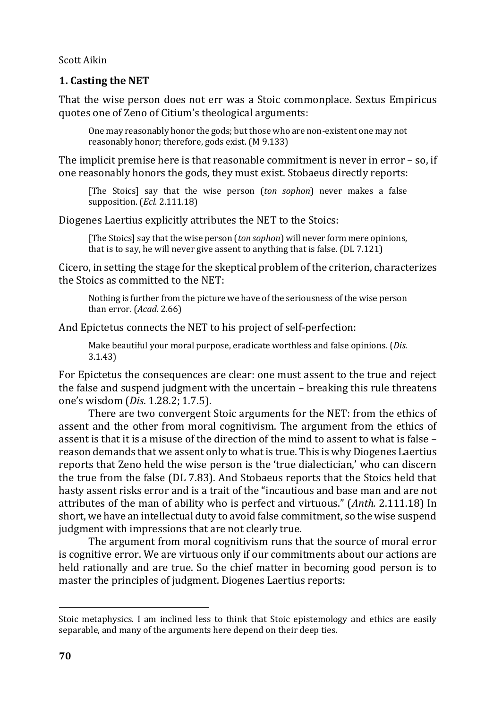# **1. Casting the NET**

That the wise person does not err was a Stoic commonplace. Sextus Empiricus quotes one of Zeno of Citium's theological arguments:

One may reasonably honor the gods; but those who are non-existent one may not reasonably honor; therefore, gods exist. (M 9.133)

The implicit premise here is that reasonable commitment is never in error – so, if one reasonably honors the gods, they must exist. Stobaeus directly reports:

[The Stoics] say that the wise person (*ton sophon*) never makes a false supposition. (*Ecl*. 2.111.18)

Diogenes Laertius explicitly attributes the NET to the Stoics:

[The Stoics] say that the wise person (*ton sophon*) will never form mere opinions, that is to say, he will never give assent to anything that is false. (DL 7.121)

Cicero, in setting the stage for the skeptical problem of the criterion, characterizes the Stoics as committed to the NET:

Nothing is further from the picture we have of the seriousness of the wise person than error. (*Acad*. 2.66)

And Epictetus connects the NET to his project of self-perfection:

Make beautiful your moral purpose, eradicate worthless and false opinions. (*Dis*. 3.1.43)

For Epictetus the consequences are clear: one must assent to the true and reject the false and suspend judgment with the uncertain – breaking this rule threatens one's wisdom (*Dis*. 1.28.2; 1.7.5).

There are two convergent Stoic arguments for the NET: from the ethics of assent and the other from moral cognitivism. The argument from the ethics of assent is that it is a misuse of the direction of the mind to assent to what is false – reason demands that we assent only to what is true. This is why Diogenes Laertius reports that Zeno held the wise person is the 'true dialectician,' who can discern the true from the false (DL 7.83). And Stobaeus reports that the Stoics held that hasty assent risks error and is a trait of the "incautious and base man and are not attributes of the man of ability who is perfect and virtuous." (*Anth.* 2.111.18) In short, we have an intellectual duty to avoid false commitment, so the wise suspend judgment with impressions that are not clearly true.

The argument from moral cognitivism runs that the source of moral error is cognitive error. We are virtuous only if our commitments about our actions are held rationally and are true. So the chief matter in becoming good person is to master the principles of judgment. Diogenes Laertius reports:

Stoic metaphysics. I am inclined less to think that Stoic epistemology and ethics are easily separable, and many of the arguments here depend on their deep ties.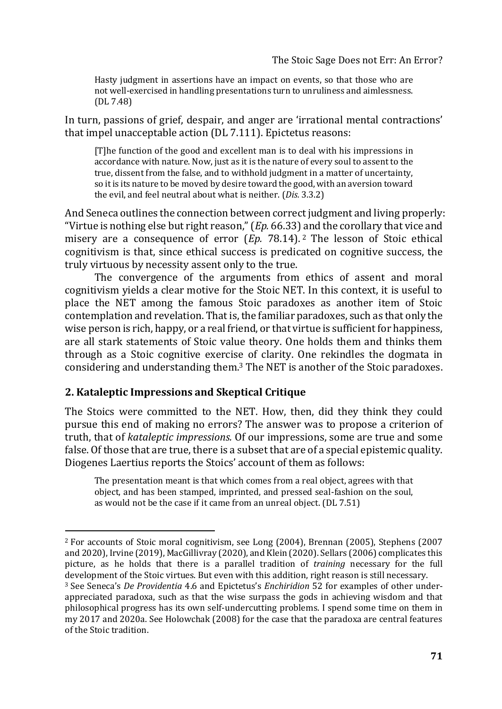Hasty judgment in assertions have an impact on events, so that those who are not well-exercised in handling presentations turn to unruliness and aimlessness. (DL 7.48)

In turn, passions of grief, despair, and anger are 'irrational mental contractions' that impel unacceptable action (DL 7.111). Epictetus reasons:

[T]he function of the good and excellent man is to deal with his impressions in accordance with nature. Now, just as it is the nature of every soul to assent to the true, dissent from the false, and to withhold judgment in a matter of uncertainty, so it is its nature to be moved by desire toward the good, with an aversion toward the evil, and feel neutral about what is neither. (*Dis.* 3.3.2)

And Seneca outlines the connection between correct judgment and living properly: "Virtue is nothing else but right reason," (*Ep.* 66.33) and the corollary that vice and misery are a consequence of error (*Ep.* 78.14). <sup>2</sup> The lesson of Stoic ethical cognitivism is that, since ethical success is predicated on cognitive success, the truly virtuous by necessity assent only to the true.

The convergence of the arguments from ethics of assent and moral cognitivism yields a clear motive for the Stoic NET. In this context, it is useful to place the NET among the famous Stoic paradoxes as another item of Stoic contemplation and revelation. That is, the familiar paradoxes, such as that only the wise person is rich, happy, or a real friend, or that virtue is sufficient for happiness, are all stark statements of Stoic value theory. One holds them and thinks them through as a Stoic cognitive exercise of clarity. One rekindles the dogmata in considering and understanding them.<sup>3</sup> The NET is another of the Stoic paradoxes.

## **2. Kataleptic Impressions and Skeptical Critique**

The Stoics were committed to the NET. How, then, did they think they could pursue this end of making no errors? The answer was to propose a criterion of truth, that of *kataleptic impressions.* Of our impressions, some are true and some false. Of those that are true, there is a subset that are of a special epistemic quality. Diogenes Laertius reports the Stoics' account of them as follows:

The presentation meant is that which comes from a real object, agrees with that object, and has been stamped, imprinted, and pressed seal-fashion on the soul, as would not be the case if it came from an unreal object. (DL 7.51)

<sup>2</sup> For accounts of Stoic moral cognitivism, see Long (2004), Brennan (2005), Stephens (2007 and 2020), Irvine (2019), MacGillivray (2020), and Klein (2020). Sellars (2006) complicates this picture, as he holds that there is a parallel tradition of *training* necessary for the full development of the Stoic virtues. But even with this addition, right reason is still necessary. <sup>3</sup> See Seneca's *De Providentia* 4.6 and Epictetus's *Enchiridion* 52 for examples of other under-

appreciated paradoxa, such as that the wise surpass the gods in achieving wisdom and that philosophical progress has its own self-undercutting problems. I spend some time on them in my 2017 and 2020a. See Holowchak (2008) for the case that the paradoxa are central features of the Stoic tradition.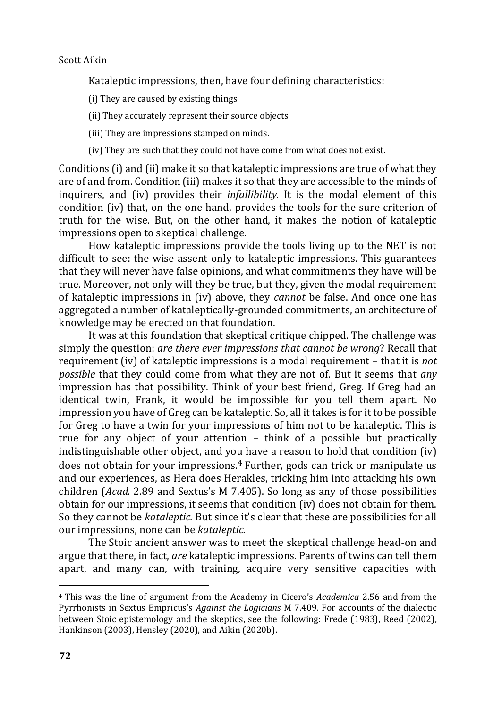Kataleptic impressions, then, have four defining characteristics:

(i) They are caused by existing things.

(ii) They accurately represent their source objects.

- (iii) They are impressions stamped on minds.
- (iv) They are such that they could not have come from what does not exist.

Conditions (i) and (ii) make it so that kataleptic impressions are true of what they are of and from. Condition (iii) makes it so that they are accessible to the minds of inquirers, and (iv) provides their *infallibility.* It is the modal element of this condition (iv) that, on the one hand, provides the tools for the sure criterion of truth for the wise. But, on the other hand, it makes the notion of kataleptic impressions open to skeptical challenge.

How kataleptic impressions provide the tools living up to the NET is not difficult to see: the wise assent only to kataleptic impressions. This guarantees that they will never have false opinions, and what commitments they have will be true. Moreover, not only will they be true, but they, given the modal requirement of kataleptic impressions in (iv) above, they *cannot* be false. And once one has aggregated a number of kataleptically-grounded commitments, an architecture of knowledge may be erected on that foundation.

It was at this foundation that skeptical critique chipped. The challenge was simply the question: *are there ever impressions that cannot be wrong*? Recall that requirement (iv) of kataleptic impressions is a modal requirement – that it is *not possible* that they could come from what they are not of. But it seems that *any*  impression has that possibility. Think of your best friend, Greg. If Greg had an identical twin, Frank, it would be impossible for you tell them apart. No impression you have of Greg can be kataleptic. So, all it takes is for it to be possible for Greg to have a twin for your impressions of him not to be kataleptic. This is true for any object of your attention – think of a possible but practically indistinguishable other object, and you have a reason to hold that condition (iv) does not obtain for your impressions.<sup>4</sup> Further, gods can trick or manipulate us and our experiences, as Hera does Herakles, tricking him into attacking his own children (*Acad.* 2.89 and Sextus's M 7.405). So long as any of those possibilities obtain for our impressions, it seems that condition (iv) does not obtain for them. So they cannot be *kataleptic.* But since it's clear that these are possibilities for all our impressions, none can be *kataleptic.*

The Stoic ancient answer was to meet the skeptical challenge head-on and argue that there, in fact, *are* kataleptic impressions. Parents of twins can tell them apart, and many can, with training, acquire very sensitive capacities with

<sup>4</sup> This was the line of argument from the Academy in Cicero's *Academica* 2.56 and from the Pyrrhonists in Sextus Empricus's *Against the Logicians* M 7.409. For accounts of the dialectic between Stoic epistemology and the skeptics, see the following: Frede (1983), Reed (2002), Hankinson (2003), Hensley (2020), and Aikin (2020b).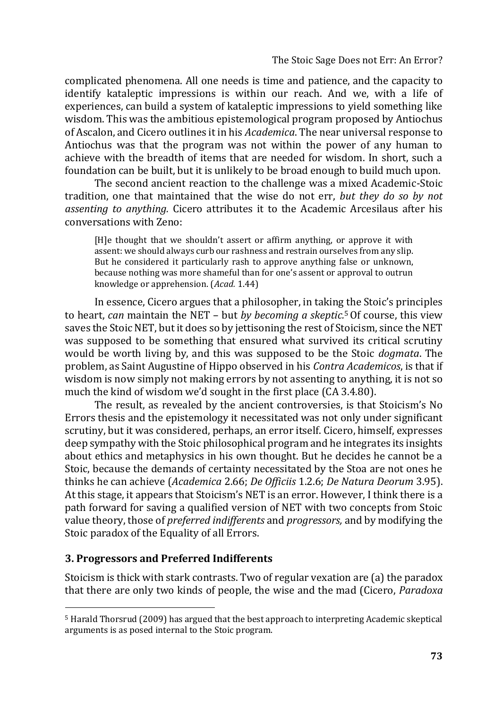complicated phenomena. All one needs is time and patience, and the capacity to identify kataleptic impressions is within our reach. And we, with a life of experiences, can build a system of kataleptic impressions to yield something like wisdom. This was the ambitious epistemological program proposed by Antiochus of Ascalon, and Cicero outlines it in his *Academica*. The near universal response to Antiochus was that the program was not within the power of any human to achieve with the breadth of items that are needed for wisdom. In short, such a foundation can be built, but it is unlikely to be broad enough to build much upon.

The second ancient reaction to the challenge was a mixed Academic-Stoic tradition, one that maintained that the wise do not err, *but they do so by not assenting to anything.* Cicero attributes it to the Academic Arcesilaus after his conversations with Zeno:

[H]e thought that we shouldn't assert or affirm anything, or approve it with assent: we should always curb our rashness and restrain ourselves from any slip. But he considered it particularly rash to approve anything false or unknown, because nothing was more shameful than for one's assent or approval to outrun knowledge or apprehension. (*Acad.* 1.44)

In essence, Cicero argues that a philosopher, in taking the Stoic's principles to heart, *can* maintain the NET – but *by becoming a skeptic.*5Of course, this view saves the Stoic NET, but it does so by jettisoning the rest of Stoicism, since the NET was supposed to be something that ensured what survived its critical scrutiny would be worth living by, and this was supposed to be the Stoic *dogmata*. The problem, as Saint Augustine of Hippo observed in his *Contra Academicos*, is that if wisdom is now simply not making errors by not assenting to anything, it is not so much the kind of wisdom we'd sought in the first place (CA 3.4.80).

The result, as revealed by the ancient controversies, is that Stoicism's No Errors thesis and the epistemology it necessitated was not only under significant scrutiny, but it was considered, perhaps, an error itself. Cicero, himself, expresses deep sympathy with the Stoic philosophical program and he integrates its insights about ethics and metaphysics in his own thought. But he decides he cannot be a Stoic, because the demands of certainty necessitated by the Stoa are not ones he thinks he can achieve (*Academica* 2.66; *De Officiis* 1.2.6; *De Natura Deorum* 3.95). At this stage, it appears that Stoicism's NET is an error. However, I think there is a path forward for saving a qualified version of NET with two concepts from Stoic value theory, those of *preferred indifferents* and *progressors,* and by modifying the Stoic paradox of the Equality of all Errors.

## **3. Progressors and Preferred Indifferents**

Stoicism is thick with stark contrasts. Two of regular vexation are (a) the paradox that there are only two kinds of people, the wise and the mad (Cicero, *Paradoxa* 

<sup>5</sup> Harald Thorsrud (2009) has argued that the best approach to interpreting Academic skeptical arguments is as posed internal to the Stoic program.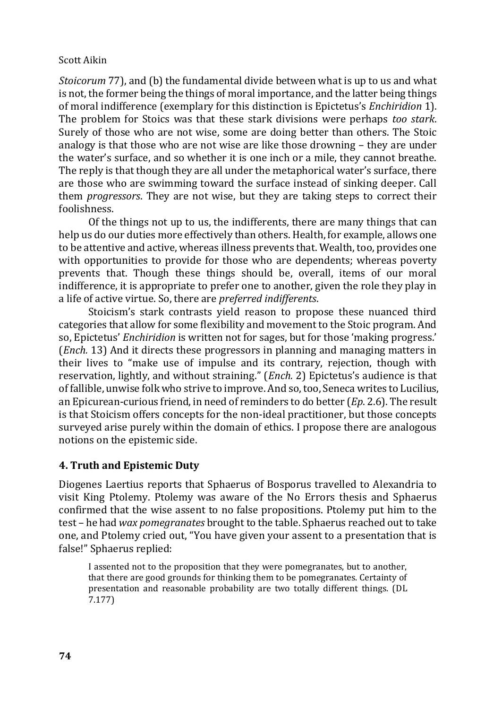*Stoicorum* 77), and (b) the fundamental divide between what is up to us and what is not, the former being the things of moral importance, and the latter being things of moral indifference (exemplary for this distinction is Epictetus's *Enchiridion* 1). The problem for Stoics was that these stark divisions were perhaps *too stark*. Surely of those who are not wise, some are doing better than others. The Stoic analogy is that those who are not wise are like those drowning – they are under the water's surface, and so whether it is one inch or a mile, they cannot breathe. The reply is that though they are all under the metaphorical water's surface, there are those who are swimming toward the surface instead of sinking deeper. Call them *progressors*. They are not wise, but they are taking steps to correct their foolishness.

Of the things not up to us, the indifferents, there are many things that can help us do our duties more effectively than others. Health, for example, allows one to be attentive and active, whereas illness prevents that. Wealth, too, provides one with opportunities to provide for those who are dependents; whereas poverty prevents that. Though these things should be, overall, items of our moral indifference, it is appropriate to prefer one to another, given the role they play in a life of active virtue. So, there are *preferred indifferents*.

Stoicism's stark contrasts yield reason to propose these nuanced third categories that allow for some flexibility and movement to the Stoic program. And so, Epictetus' *Enchiridion* is written not for sages, but for those 'making progress.' (*Ench.* 13) And it directs these progressors in planning and managing matters in their lives to "make use of impulse and its contrary, rejection, though with reservation, lightly, and without straining." (*Ench.* 2) Epictetus's audience is that of fallible, unwise folk who strive to improve. And so, too, Seneca writes to Lucilius, an Epicurean-curious friend, in need of reminders to do better (*Ep*. 2.6). The result is that Stoicism offers concepts for the non-ideal practitioner, but those concepts surveyed arise purely within the domain of ethics. I propose there are analogous notions on the epistemic side.

# **4. Truth and Epistemic Duty**

Diogenes Laertius reports that Sphaerus of Bosporus travelled to Alexandria to visit King Ptolemy. Ptolemy was aware of the No Errors thesis and Sphaerus confirmed that the wise assent to no false propositions. Ptolemy put him to the test – he had *wax pomegranates* brought to the table. Sphaerus reached out to take one, and Ptolemy cried out, "You have given your assent to a presentation that is false!" Sphaerus replied:

I assented not to the proposition that they were pomegranates, but to another, that there are good grounds for thinking them to be pomegranates. Certainty of presentation and reasonable probability are two totally different things. (DL 7.177)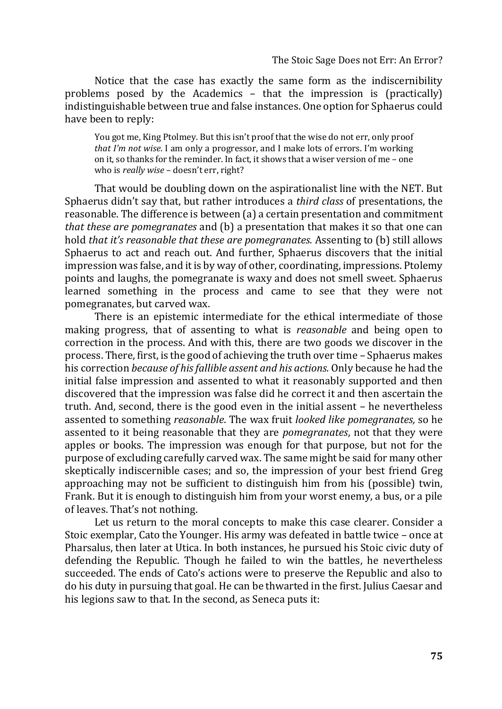Notice that the case has exactly the same form as the indiscernibility problems posed by the Academics – that the impression is (practically) indistinguishable between true and false instances. One option for Sphaerus could have been to reply:

You got me, King Ptolmey. But this isn't proof that the wise do not err, only proof *that I'm not wise*. I am only a progressor, and I make lots of errors. I'm working on it, so thanks for the reminder. In fact, it shows that a wiser version of me – one who is *really wise* – doesn't err, right?

That would be doubling down on the aspirationalist line with the NET. But Sphaerus didn't say that, but rather introduces a *third class* of presentations, the reasonable. The difference is between (a) a certain presentation and commitment *that these are pomegranates* and (b) a presentation that makes it so that one can hold *that it's reasonable that these are pomegranates.* Assenting to (b) still allows Sphaerus to act and reach out. And further, Sphaerus discovers that the initial impression was false, and it is by way of other, coordinating, impressions. Ptolemy points and laughs, the pomegranate is waxy and does not smell sweet. Sphaerus learned something in the process and came to see that they were not pomegranates, but carved wax.

There is an epistemic intermediate for the ethical intermediate of those making progress, that of assenting to what is *reasonable* and being open to correction in the process. And with this, there are two goods we discover in the process. There, first, is the good of achieving the truth over time – Sphaerus makes his correction *because of his fallible assent and his actions.* Only because he had the initial false impression and assented to what it reasonably supported and then discovered that the impression was false did he correct it and then ascertain the truth. And, second, there is the good even in the initial assent – he nevertheless assented to something *reasonable*. The wax fruit *looked like pomegranates,* so he assented to it being reasonable that they are *pomegranates*, not that they were apples or books. The impression was enough for that purpose, but not for the purpose of excluding carefully carved wax. The same might be said for many other skeptically indiscernible cases; and so, the impression of your best friend Greg approaching may not be sufficient to distinguish him from his (possible) twin, Frank. But it is enough to distinguish him from your worst enemy, a bus, or a pile of leaves. That's not nothing.

Let us return to the moral concepts to make this case clearer. Consider a Stoic exemplar, Cato the Younger. His army was defeated in battle twice – once at Pharsalus, then later at Utica. In both instances, he pursued his Stoic civic duty of defending the Republic. Though he failed to win the battles, he nevertheless succeeded. The ends of Cato's actions were to preserve the Republic and also to do his duty in pursuing that goal. He can be thwarted in the first. Julius Caesar and his legions saw to that. In the second, as Seneca puts it: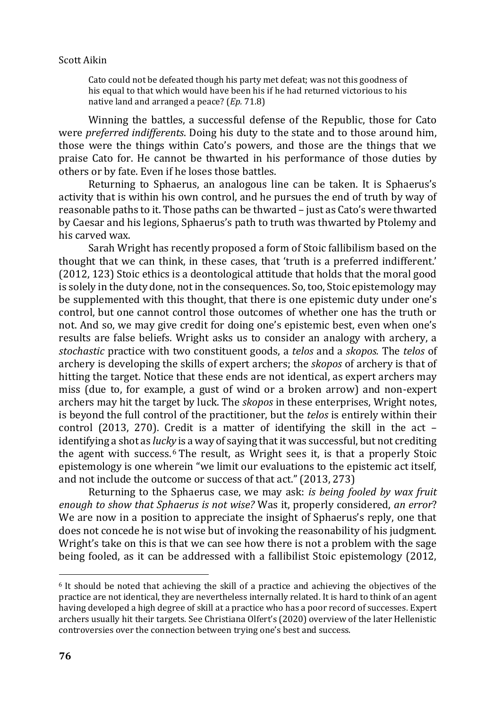Cato could not be defeated though his party met defeat; was not this goodness of his equal to that which would have been his if he had returned victorious to his native land and arranged a peace? (*Ep.* 71.8)

Winning the battles, a successful defense of the Republic, those for Cato were *preferred indifferents*. Doing his duty to the state and to those around him, those were the things within Cato's powers, and those are the things that we praise Cato for. He cannot be thwarted in his performance of those duties by others or by fate. Even if he loses those battles.

Returning to Sphaerus, an analogous line can be taken. It is Sphaerus's activity that is within his own control, and he pursues the end of truth by way of reasonable paths to it. Those paths can be thwarted – just as Cato's were thwarted by Caesar and his legions, Sphaerus's path to truth was thwarted by Ptolemy and his carved wax.

Sarah Wright has recently proposed a form of Stoic fallibilism based on the thought that we can think, in these cases, that 'truth is a preferred indifferent.' (2012, 123) Stoic ethics is a deontological attitude that holds that the moral good is solely in the duty done, not in the consequences. So, too, Stoic epistemology may be supplemented with this thought, that there is one epistemic duty under one's control, but one cannot control those outcomes of whether one has the truth or not. And so, we may give credit for doing one's epistemic best, even when one's results are false beliefs. Wright asks us to consider an analogy with archery, a *stochastic* practice with two constituent goods, a *telos* and a *skopos.* The *telos* of archery is developing the skills of expert archers; the *skopos* of archery is that of hitting the target. Notice that these ends are not identical, as expert archers may miss (due to, for example, a gust of wind or a broken arrow) and non-expert archers may hit the target by luck. The *skopos* in these enterprises, Wright notes, is beyond the full control of the practitioner, but the *telos* is entirely within their control (2013, 270). Credit is a matter of identifying the skill in the act – identifying a shot as *lucky* is a way of saying that it was successful, but not crediting the agent with success.<sup>6</sup> The result, as Wright sees it, is that a properly Stoic epistemology is one wherein "we limit our evaluations to the epistemic act itself, and not include the outcome or success of that act." (2013, 273)

Returning to the Sphaerus case, we may ask: *is being fooled by wax fruit enough to show that Sphaerus is not wise?* Was it, properly considered, *an error*? We are now in a position to appreciate the insight of Sphaerus's reply, one that does not concede he is not wise but of invoking the reasonability of his judgment. Wright's take on this is that we can see how there is not a problem with the sage being fooled, as it can be addressed with a fallibilist Stoic epistemology (2012,

<sup>6</sup> It should be noted that achieving the skill of a practice and achieving the objectives of the practice are not identical, they are nevertheless internally related. It is hard to think of an agent having developed a high degree of skill at a practice who has a poor record of successes. Expert archers usually hit their targets. See Christiana Olfert's (2020) overview of the later Hellenistic controversies over the connection between trying one's best and success.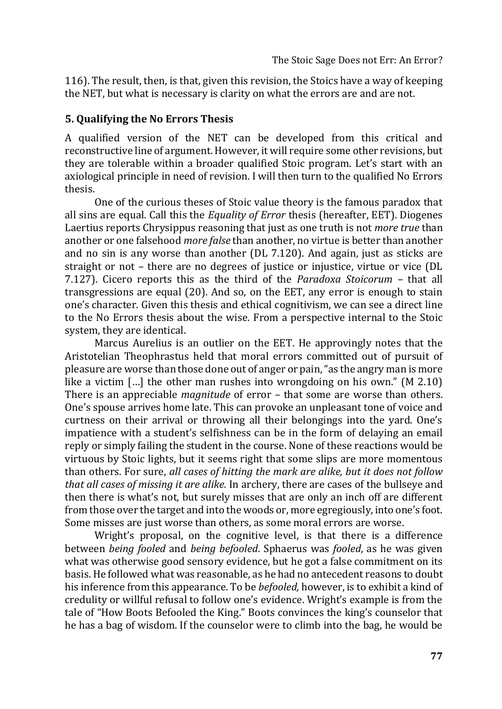116). The result, then, is that, given this revision, the Stoics have a way of keeping the NET, but what is necessary is clarity on what the errors are and are not.

## **5. Qualifying the No Errors Thesis**

A qualified version of the NET can be developed from this critical and reconstructive line of argument. However, it will require some other revisions, but they are tolerable within a broader qualified Stoic program. Let's start with an axiological principle in need of revision. I will then turn to the qualified No Errors thesis.

One of the curious theses of Stoic value theory is the famous paradox that all sins are equal. Call this the *Equality of Error* thesis (hereafter, EET). Diogenes Laertius reports Chrysippus reasoning that just as one truth is not *more true* than another or one falsehood *more false* than another, no virtue is better than another and no sin is any worse than another (DL 7.120). And again, just as sticks are straight or not – there are no degrees of justice or injustice, virtue or vice (DL 7.127). Cicero reports this as the third of the *Paradoxa Stoicorum* – that all transgressions are equal (20). And so, on the EET, any error is enough to stain one's character. Given this thesis and ethical cognitivism, we can see a direct line to the No Errors thesis about the wise. From a perspective internal to the Stoic system, they are identical.

Marcus Aurelius is an outlier on the EET. He approvingly notes that the Aristotelian Theophrastus held that moral errors committed out of pursuit of pleasure are worse than those done out of anger or pain, "as the angry man is more like a victim […] the other man rushes into wrongdoing on his own." (M 2.10) There is an appreciable *magnitude* of error – that some are worse than others. One's spouse arrives home late. This can provoke an unpleasant tone of voice and curtness on their arrival or throwing all their belongings into the yard. One's impatience with a student's selfishness can be in the form of delaying an email reply or simply failing the student in the course. None of these reactions would be virtuous by Stoic lights, but it seems right that some slips are more momentous than others. For sure, *all cases of hitting the mark are alike, but it does not follow that all cases of missing it are alike.* In archery, there are cases of the bullseye and then there is what's not, but surely misses that are only an inch off are different from those over the target and into the woods or, more egregiously, into one's foot. Some misses are just worse than others, as some moral errors are worse.

Wright's proposal, on the cognitive level, is that there is a difference between *being fooled* and *being befooled*. Sphaerus was *fooled*, as he was given what was otherwise good sensory evidence, but he got a false commitment on its basis. He followed what was reasonable, as he had no antecedent reasons to doubt his inference from this appearance. To be *befooled,* however, is to exhibit a kind of credulity or willful refusal to follow one's evidence. Wright's example is from the tale of "How Boots Befooled the King." Boots convinces the king's counselor that he has a bag of wisdom. If the counselor were to climb into the bag, he would be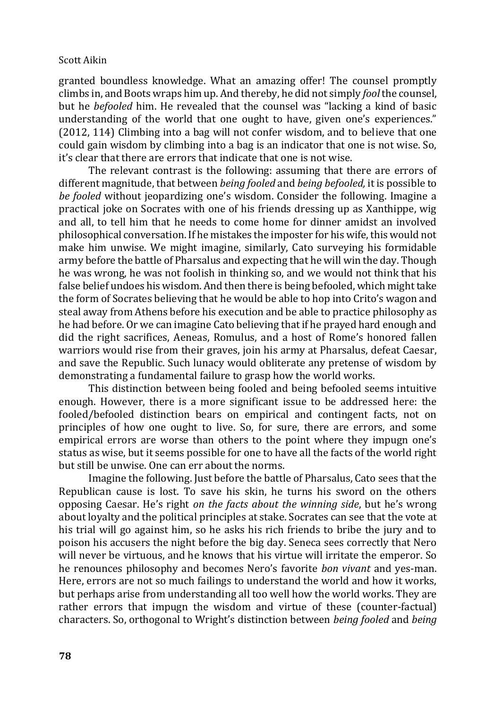granted boundless knowledge. What an amazing offer! The counsel promptly climbs in, and Boots wraps him up. And thereby, he did not simply *fool* the counsel, but he *befooled* him. He revealed that the counsel was "lacking a kind of basic understanding of the world that one ought to have, given one's experiences." (2012, 114) Climbing into a bag will not confer wisdom, and to believe that one could gain wisdom by climbing into a bag is an indicator that one is not wise. So, it's clear that there are errors that indicate that one is not wise.

The relevant contrast is the following: assuming that there are errors of different magnitude, that between *being fooled* and *being befooled,* it is possible to *be fooled* without jeopardizing one's wisdom. Consider the following. Imagine a practical joke on Socrates with one of his friends dressing up as Xanthippe, wig and all, to tell him that he needs to come home for dinner amidst an involved philosophical conversation. If he mistakes the imposter for his wife, this would not make him unwise. We might imagine, similarly, Cato surveying his formidable army before the battle of Pharsalus and expecting that he will win the day. Though he was wrong, he was not foolish in thinking so, and we would not think that his false belief undoes his wisdom. And then there is being befooled, which might take the form of Socrates believing that he would be able to hop into Crito's wagon and steal away from Athens before his execution and be able to practice philosophy as he had before. Or we can imagine Cato believing that if he prayed hard enough and did the right sacrifices, Aeneas, Romulus, and a host of Rome's honored fallen warriors would rise from their graves, join his army at Pharsalus, defeat Caesar, and save the Republic. Such lunacy would obliterate any pretense of wisdom by demonstrating a fundamental failure to grasp how the world works.

This distinction between being fooled and being befooled seems intuitive enough. However, there is a more significant issue to be addressed here: the fooled/befooled distinction bears on empirical and contingent facts, not on principles of how one ought to live. So, for sure, there are errors, and some empirical errors are worse than others to the point where they impugn one's status as wise, but it seems possible for one to have all the facts of the world right but still be unwise. One can err about the norms.

Imagine the following. Just before the battle of Pharsalus, Cato sees that the Republican cause is lost. To save his skin, he turns his sword on the others opposing Caesar. He's right *on the facts about the winning side*, but he's wrong about loyalty and the political principles at stake. Socrates can see that the vote at his trial will go against him, so he asks his rich friends to bribe the jury and to poison his accusers the night before the big day. Seneca sees correctly that Nero will never be virtuous, and he knows that his virtue will irritate the emperor. So he renounces philosophy and becomes Nero's favorite *bon vivant* and yes-man. Here, errors are not so much failings to understand the world and how it works, but perhaps arise from understanding all too well how the world works. They are rather errors that impugn the wisdom and virtue of these (counter-factual) characters. So, orthogonal to Wright's distinction between *being fooled* and *being*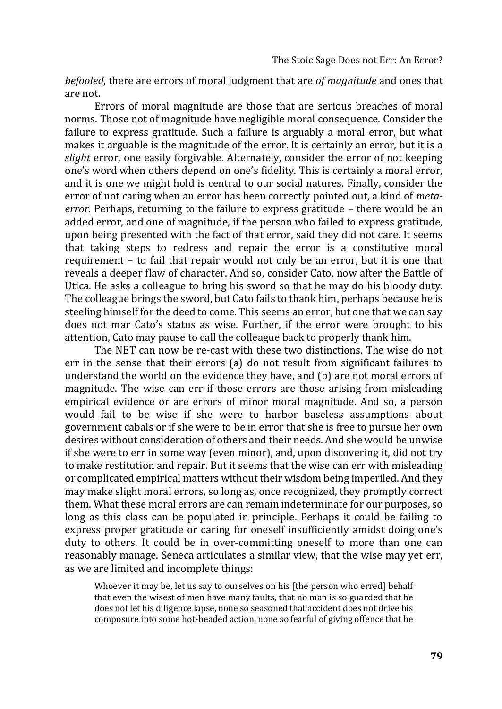*befooled*, there are errors of moral judgment that are *of magnitude* and ones that are not.

Errors of moral magnitude are those that are serious breaches of moral norms. Those not of magnitude have negligible moral consequence. Consider the failure to express gratitude. Such a failure is arguably a moral error, but what makes it arguable is the magnitude of the error. It is certainly an error, but it is a *slight* error, one easily forgivable. Alternately, consider the error of not keeping one's word when others depend on one's fidelity. This is certainly a moral error, and it is one we might hold is central to our social natures. Finally, consider the error of not caring when an error has been correctly pointed out, a kind of *metaerror.* Perhaps, returning to the failure to express gratitude – there would be an added error, and one of magnitude, if the person who failed to express gratitude, upon being presented with the fact of that error, said they did not care. It seems that taking steps to redress and repair the error is a constitutive moral requirement – to fail that repair would not only be an error, but it is one that reveals a deeper flaw of character. And so, consider Cato, now after the Battle of Utica. He asks a colleague to bring his sword so that he may do his bloody duty. The colleague brings the sword, but Cato fails to thank him, perhaps because he is steeling himself for the deed to come. This seems an error, but one that we can say does not mar Cato's status as wise. Further, if the error were brought to his attention, Cato may pause to call the colleague back to properly thank him.

The NET can now be re-cast with these two distinctions. The wise do not err in the sense that their errors (a) do not result from significant failures to understand the world on the evidence they have, and (b) are not moral errors of magnitude. The wise can err if those errors are those arising from misleading empirical evidence or are errors of minor moral magnitude. And so, a person would fail to be wise if she were to harbor baseless assumptions about government cabals or if she were to be in error that she is free to pursue her own desires without consideration of others and their needs. And she would be unwise if she were to err in some way (even minor), and, upon discovering it, did not try to make restitution and repair. But it seems that the wise can err with misleading or complicated empirical matters without their wisdom being imperiled. And they may make slight moral errors, so long as, once recognized, they promptly correct them. What these moral errors are can remain indeterminate for our purposes, so long as this class can be populated in principle. Perhaps it could be failing to express proper gratitude or caring for oneself insufficiently amidst doing one's duty to others. It could be in over-committing oneself to more than one can reasonably manage. Seneca articulates a similar view, that the wise may yet err, as we are limited and incomplete things:

Whoever it may be, let us say to ourselves on his [the person who erred] behalf that even the wisest of men have many faults, that no man is so guarded that he does not let his diligence lapse, none so seasoned that accident does not drive his composure into some hot-headed action, none so fearful of giving offence that he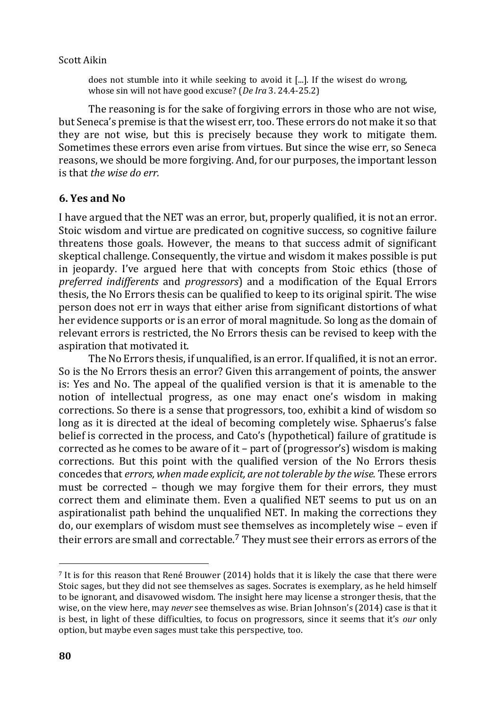does not stumble into it while seeking to avoid it [...]. If the wisest do wrong, whose sin will not have good excuse? (*De Ira* 3. 24.4-25.2)

The reasoning is for the sake of forgiving errors in those who are not wise, but Seneca's premise is that the wisest err, too. These errors do not make it so that they are not wise, but this is precisely because they work to mitigate them. Sometimes these errors even arise from virtues. But since the wise err, so Seneca reasons, we should be more forgiving. And, for our purposes, the important lesson is that *the wise do err.*

## **6. Yes and No**

I have argued that the NET was an error, but, properly qualified, it is not an error. Stoic wisdom and virtue are predicated on cognitive success, so cognitive failure threatens those goals. However, the means to that success admit of significant skeptical challenge. Consequently, the virtue and wisdom it makes possible is put in jeopardy. I've argued here that with concepts from Stoic ethics (those of *preferred indifferents* and *progressors*) and a modification of the Equal Errors thesis, the No Errors thesis can be qualified to keep to its original spirit. The wise person does not err in ways that either arise from significant distortions of what her evidence supports or is an error of moral magnitude. So long as the domain of relevant errors is restricted, the No Errors thesis can be revised to keep with the aspiration that motivated it.

The No Errors thesis, if unqualified, is an error. If qualified, it is not an error. So is the No Errors thesis an error? Given this arrangement of points, the answer is: Yes and No. The appeal of the qualified version is that it is amenable to the notion of intellectual progress, as one may enact one's wisdom in making corrections. So there is a sense that progressors, too, exhibit a kind of wisdom so long as it is directed at the ideal of becoming completely wise. Sphaerus's false belief is corrected in the process, and Cato's (hypothetical) failure of gratitude is corrected as he comes to be aware of it – part of (progressor's) wisdom is making corrections. But this point with the qualified version of the No Errors thesis concedes that *errors, when made explicit, are not tolerable by the wise.* These errors must be corrected – though we may forgive them for their errors, they must correct them and eliminate them. Even a qualified NET seems to put us on an aspirationalist path behind the unqualified NET. In making the corrections they do, our exemplars of wisdom must see themselves as incompletely wise – even if their errors are small and correctable.<sup>7</sup> They must see their errors as errors of the

<sup>7</sup> It is for this reason that René Brouwer (2014) holds that it is likely the case that there were Stoic sages, but they did not see themselves as sages. Socrates is exemplary, as he held himself to be ignorant, and disavowed wisdom. The insight here may license a stronger thesis, that the wise, on the view here, may *never* see themselves as wise. Brian Johnson's (2014) case is that it is best, in light of these difficulties, to focus on progressors, since it seems that it's *our* only option, but maybe even sages must take this perspective, too.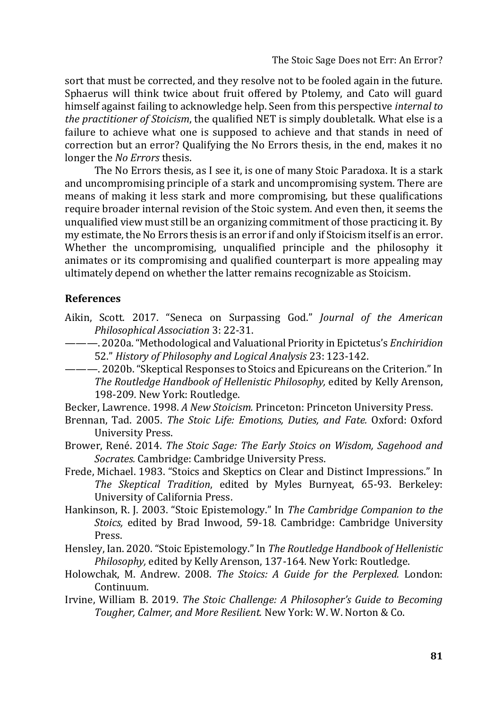sort that must be corrected, and they resolve not to be fooled again in the future. Sphaerus will think twice about fruit offered by Ptolemy, and Cato will guard himself against failing to acknowledge help. Seen from this perspective *internal to the practitioner of Stoicism*, the qualified NET is simply doubletalk. What else is a failure to achieve what one is supposed to achieve and that stands in need of correction but an error? Qualifying the No Errors thesis, in the end, makes it no longer the *No Errors* thesis.

The No Errors thesis, as I see it, is one of many Stoic Paradoxa. It is a stark and uncompromising principle of a stark and uncompromising system. There are means of making it less stark and more compromising, but these qualifications require broader internal revision of the Stoic system. And even then, it seems the unqualified view must still be an organizing commitment of those practicing it. By my estimate, the No Errors thesis is an error if and only if Stoicism itself is an error. Whether the uncompromising, unqualified principle and the philosophy it animates or its compromising and qualified counterpart is more appealing may ultimately depend on whether the latter remains recognizable as Stoicism.

## **References**

- Aikin, Scott. 2017. "Seneca on Surpassing God." *Journal of the American Philosophical Association* 3: 22-31.
- ———. 2020a. "Methodological and Valuational Priority in Epictetus's *Enchiridion*  52." *History of Philosophy and Logical Analysis* 23: 123-142.
- ———. 2020b. "Skeptical Responses to Stoics and Epicureans on the Criterion." In *The Routledge Handbook of Hellenistic Philosophy,* edited by Kelly Arenson, 198-209*.* New York: Routledge.
- Becker, Lawrence. 1998. *A New Stoicism.* Princeton: Princeton University Press.
- Brennan, Tad. 2005. *The Stoic Life: Emotions, Duties, and Fate.* Oxford: Oxford University Press.
- Brower, René. 2014. *The Stoic Sage: The Early Stoics on Wisdom, Sagehood and Socrates.* Cambridge: Cambridge University Press.
- Frede, Michael. 1983. "Stoics and Skeptics on Clear and Distinct Impressions." In *The Skeptical Tradition*, edited by Myles Burnyeat, 65-93. Berkeley: University of California Press.
- Hankinson, R. J. 2003. "Stoic Epistemology." In *The Cambridge Companion to the Stoics,* edited by Brad Inwood, 59-18*.* Cambridge: Cambridge University Press.
- Hensley, Ian. 2020. "Stoic Epistemology." In *The Routledge Handbook of Hellenistic Philosophy,* edited by Kelly Arenson, 137-164*.* New York: Routledge.
- Holowchak, M. Andrew. 2008. *The Stoics: A Guide for the Perplexed.* London: Continuum.
- Irvine, William B. 2019. *The Stoic Challenge: A Philosopher's Guide to Becoming Tougher, Calmer, and More Resilient.* New York: W. W. Norton & Co.